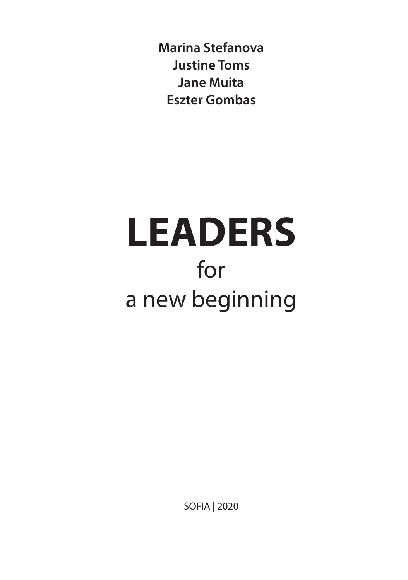**Marina Stefanova Justine Toms Jane Muita Eszter Gombas**

# **LEADERS** for a new beginning

SOFIA | 2020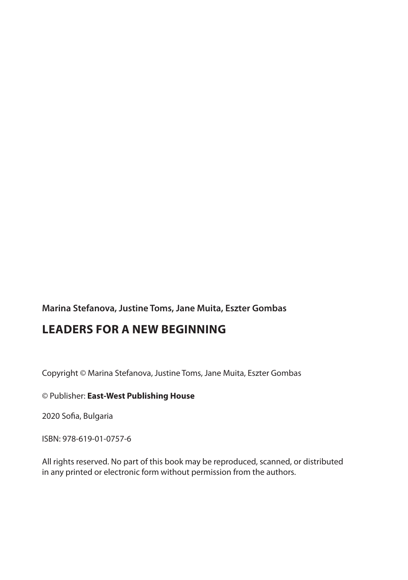**Marina Stefanova, Justine Toms, Jane Muita, Eszter Gombas**

# **LEADERS FOR A NEW BEGINNING**

Copyright © Marina Stefanova, Justine Toms, Jane Muita, Eszter Gombas

© Publisher: **East-West Publishing House**

2020 Sofia, Bulgaria

ISBN: 978-619-01-0757-6

All rights reserved. No part of this book may be reproduced, scanned, or distributed in any printed or electronic form without permission from the authors.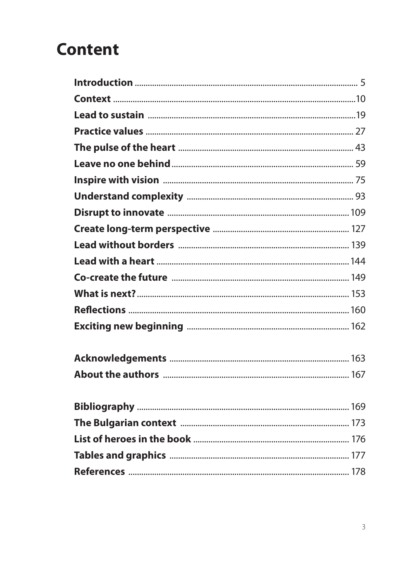# **Content**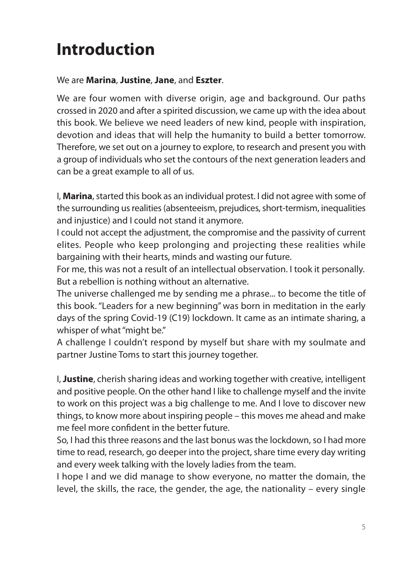# **Introduction**

#### We are **Marina**, **Justine**, **Jane**, and **Eszter**.

We are four women with diverse origin, age and background. Our paths crossed in 2020 and after a spirited discussion, we came up with the idea about this book. We believe we need leaders of new kind, people with inspiration, devotion and ideas that will help the humanity to build a better tomorrow. Therefore, we set out on a journey to explore, to research and present you with a group of individuals who set the contours of the next generation leaders and can be a great example to all of us.

I, **Marina**, started this book as an individual protest. I did not agree with some of the surrounding us realities (absenteeism, prejudices, short-termism, inequalities and injustice) and I could not stand it anymore.

I could not accept the adjustment, the compromise and the passivity of current elites. People who keep prolonging and projecting these realities while bargaining with their hearts, minds and wasting our future.

For me, this was not a result of an intellectual observation. I took it personally. But a rebellion is nothing without an alternative.

The universe challenged me by sending me a phrase... to become the title of this book. "Leaders for a new beginning" was born in meditation in the early days of the spring Covid-19 (C19) lockdown. It came as an intimate sharing, a whisper of what "might be."

A challenge I couldn't respond by myself but share with my soulmate and partner Justine Toms to start this journey together.

I, **Justine**, cherish sharing ideas and working together with creative, intelligent and positive people. On the other hand I like to challenge myself and the invite to work on this project was a big challenge to me. And I love to discover new things, to know more about inspiring people – this moves me ahead and make me feel more confident in the better future.

So, I had this three reasons and the last bonus was the lockdown, so I had more time to read, research, go deeper into the project, share time every day writing and every week talking with the lovely ladies from the team.

I hope I and we did manage to show everyone, no matter the domain, the level, the skills, the race, the gender, the age, the nationality – every single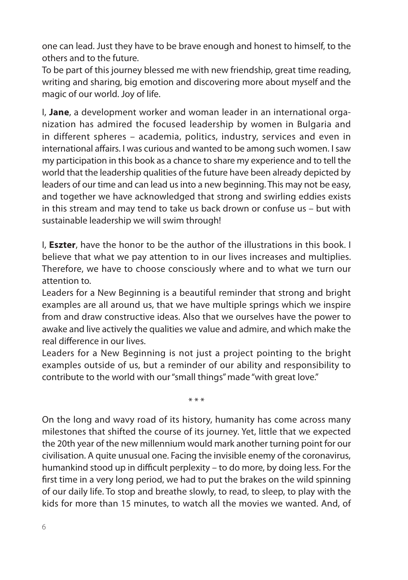one can lead. Just they have to be brave enough and honest to himself, to the others and to the future.

To be part of this journey blessed me with new friendship, great time reading, writing and sharing, big emotion and discovering more about myself and the magic of our world. Joy of life.

I, **Jane**, a development worker and woman leader in an international organization has admired the focused leadership by women in Bulgaria and in different spheres – academia, politics, industry, services and even in international affairs. I was curious and wanted to be among such women. I saw my participation in this book as a chance to share my experience and to tell the world that the leadership qualities of the future have been already depicted by leaders of our time and can lead us into a new beginning. This may not be easy, and together we have acknowledged that strong and swirling eddies exists in this stream and may tend to take us back drown or confuse us – but with sustainable leadership we will swim through!

I, **Eszter**, have the honor to be the author of the illustrations in this book. I believe that what we pay attention to in our lives increases and multiplies. Therefore, we have to choose consciously where and to what we turn our attention to.

Leaders for a New Beginning is a beautiful reminder that strong and bright examples are all around us, that we have multiple springs which we inspire from and draw constructive ideas. Also that we ourselves have the power to awake and live actively the qualities we value and admire, and which make the real difference in our lives.

Leaders for a New Beginning is not just a project pointing to the bright examples outside of us, but a reminder of our ability and responsibility to contribute to the world with our "small things" made "with great love."

\* \* \*

On the long and wavy road of its history, humanity has come across many milestones that shifted the course of its journey. Yet, little that we expected the 20th year of the new millennium would mark another turning point for our civilisation. A quite unusual one. Facing the invisible enemy of the coronavirus, humankind stood up in difficult perplexity – to do more, by doing less. For the first time in a very long period, we had to put the brakes on the wild spinning of our daily life. To stop and breathe slowly, to read, to sleep, to play with the kids for more than 15 minutes, to watch all the movies we wanted. And, of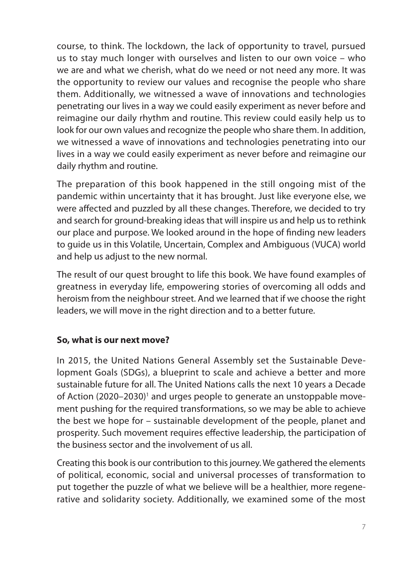course, to think. The lockdown, the lack of opportunity to travel, pursued us to stay much longer with ourselves and listen to our own voice – who we are and what we cherish, what do we need or not need any more. It was the opportunity to review our values and recognise the people who share them. Additionally, we witnessed a wave of innovations and technologies penetrating our lives in a way we could easily experiment as never before and reimagine our daily rhythm and routine. This review could easily help us to look for our own values and recognize the people who share them. In addition, we witnessed a wave of innovations and technologies penetrating into our lives in a way we could easily experiment as never before and reimagine our daily rhythm and routine.

The preparation of this book happened in the still ongoing mist of the pandemic within uncertainty that it has brought. Just like everyone else, we were affected and puzzled by all these changes. Therefore, we decided to try and search for ground-breaking ideas that will inspire us and help us to rethink our place and purpose. We looked around in the hope of finding new leaders to guide us in this Volatile, Uncertain, Complex and Ambiguous (VUCA) world and help us adjust to the new normal.

The result of our quest brought to life this book. We have found examples of greatness in everyday life, empowering stories of overcoming all odds and heroism from the neighbour street. And we learned that if we choose the right leaders, we will move in the right direction and to a better future.

# **So, what is our next move?**

In 2015, the United Nations General Assembly set the Sustainable Development Goals (SDGs), a blueprint to scale and achieve a better and more sustainable future for all. The United Nations calls the next 10 years a Decade of Action (2020–2030)<sup>1</sup> and urges people to generate an unstoppable movement pushing for the required transformations, so we may be able to achieve the best we hope for – sustainable development of the people, planet and prosperity. Such movement requires effective leadership, the participation of the business sector and the involvement of us all.

Creating this book is our contribution to this journey. We gathered the elements of political, economic, social and universal processes of transformation to put together the puzzle of what we believe will be a healthier, more regenerative and solidarity society. Additionally, we examined some of the most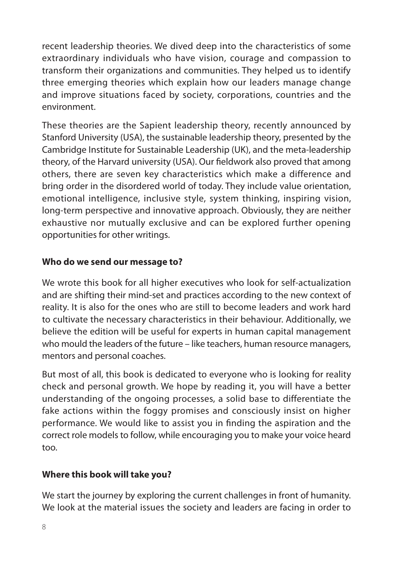recent leadership theories. We dived deep into the characteristics of some extraordinary individuals who have vision, courage and compassion to transform their organizations and communities. They helped us to identify three emerging theories which explain how our leaders manage change and improve situations faced by society, corporations, countries and the environment.

These theories are the Sapient leadership theory, recently announced by Stanford University (USA), the sustainable leadership theory, presented by the Cambridge Institute for Sustainable Leadership (UK), and the meta-leadership theory, of the Harvard university (USA). Our fieldwork also proved that among others, there are seven key characteristics which make a difference and bring order in the disordered world of today. They include value orientation, emotional intelligence, inclusive style, system thinking, inspiring vision, long-term perspective and innovative approach. Obviously, they are neither exhaustive nor mutually exclusive and can be explored further opening opportunities for other writings.

#### **Who do we send our message to?**

We wrote this book for all higher executives who look for self-actualization and are shifting their mind-set and practices according to the new context of reality. It is also for the ones who are still to become leaders and work hard to cultivate the necessary characteristics in their behaviour. Additionally, we believe the edition will be useful for experts in human capital management who mould the leaders of the future – like teachers, human resource managers, mentors and personal coaches.

But most of all, this book is dedicated to everyone who is looking for reality check and personal growth. We hope by reading it, you will have a better understanding of the ongoing processes, a solid base to differentiate the fake actions within the foggy promises and consciously insist on higher performance. We would like to assist you in finding the aspiration and the correct role models to follow, while encouraging you to make your voice heard too.

#### **Where this book will take you?**

We start the journey by exploring the current challenges in front of humanity. We look at the material issues the society and leaders are facing in order to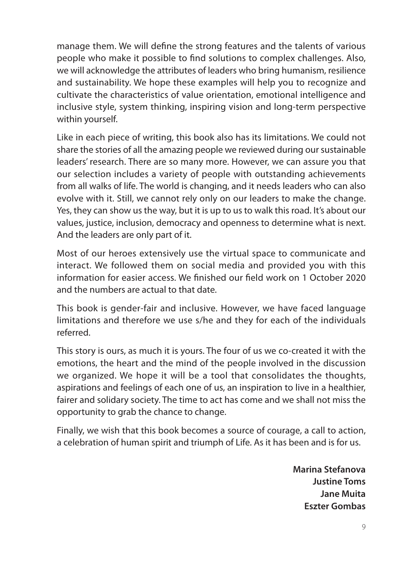manage them. We will define the strong features and the talents of various people who make it possible to find solutions to complex challenges. Also, we will acknowledge the attributes of leaders who bring humanism, resilience and sustainability. We hope these examples will help you to recognize and cultivate the characteristics of value orientation, emotional intelligence and inclusive style, system thinking, inspiring vision and long-term perspective within yourself.

Like in each piece of writing, this book also has its limitations. We could not share the stories of all the amazing people we reviewed during our sustainable leaders' research. There are so many more. However, we can assure you that our selection includes a variety of people with outstanding achievements from all walks of life. The world is changing, and it needs leaders who can also evolve with it. Still, we cannot rely only on our leaders to make the change. Yes, they can show us the way, but it is up to us to walk this road. It's about our values, justice, inclusion, democracy and openness to determine what is next. And the leaders are only part of it.

Most of our heroes extensively use the virtual space to communicate and interact. We followed them on social media and provided you with this information for easier access. We finished our field work on 1 October 2020 and the numbers are actual to that date.

This book is gender-fair and inclusive. However, we have faced language limitations and therefore we use s/he and they for each of the individuals referred.

This story is ours, as much it is yours. The four of us we co-created it with the emotions, the heart and the mind of the people involved in the discussion we organized. We hope it will be a tool that consolidates the thoughts, aspirations and feelings of each one of us, an inspiration to live in a healthier, fairer and solidary society. The time to act has come and we shall not miss the opportunity to grab the chance to change.

Finally, we wish that this book becomes a source of courage, a call to action, a celebration of human spirit and triumph of Life. As it has been and is for us.

> **Marina Stefanova Justine Toms Jane Muita Eszter Gombas**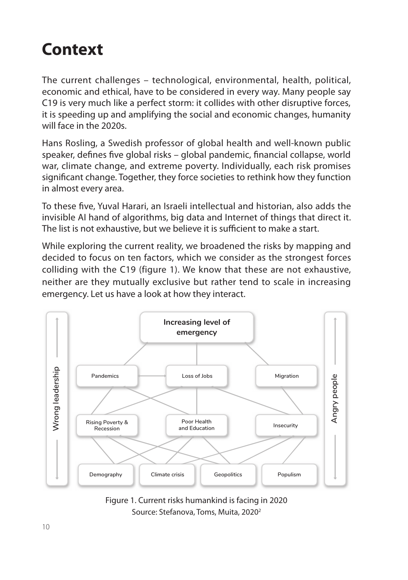# **Context**

The current challenges – technological, environmental, health, political, economic and ethical, have to be considered in every way. Many people say C19 is very much like a perfect storm: it collides with other disruptive forces, it is speeding up and amplifying the social and economic changes, humanity will face in the 2020s.

Hans Rosling, a Swedish professor of global health and well-known public speaker, defines five global risks – global pandemic, financial collapse, world war, climate change, and extreme poverty. Individually, each risk promises significant change. Together, they force societies to rethink how they function in almost every area.

To these five, Yuval Harari, an Israeli intellectual and historian, also adds the invisible AI hand of algorithms, big data and Internet of things that direct it. The list is not exhaustive, but we believe it is sufficient to make a start.

While exploring the current reality, we broadened the risks by mapping and decided to focus on ten factors, which we consider as the strongest forces colliding with the C19 (figure 1). We know that these are not exhaustive, neither are they mutually exclusive but rather tend to scale in increasing emergency. Let us have a look at how they interact.



Figure 1. Current risks humankind is facing in 2020 Source: Stefanova, Toms, Muita, 20202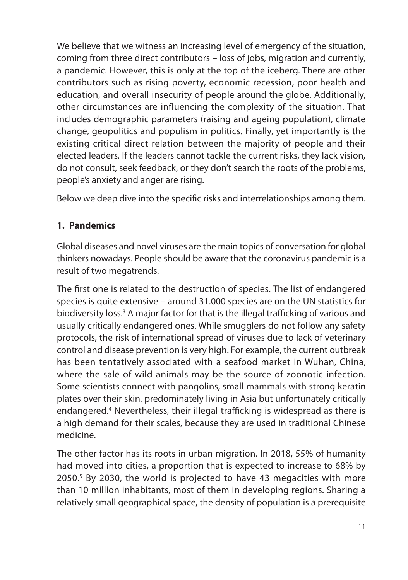We believe that we witness an increasing level of emergency of the situation, coming from three direct contributors – loss of jobs, migration and currently, a pandemic. However, this is only at the top of the iceberg. There are other contributors such as rising poverty, economic recession, poor health and education, and overall insecurity of people around the globe. Additionally, other circumstances are influencing the complexity of the situation. That includes demographic parameters (raising and ageing population), climate change, geopolitics and populism in politics. Finally, yet importantly is the existing critical direct relation between the majority of people and their elected leaders. If the leaders cannot tackle the current risks, they lack vision, do not consult, seek feedback, or they don't search the roots of the problems, people's anxiety and anger are rising.

Below we deep dive into the specific risks and interrelationships among them.

# **1. Pandemics**

Global diseases and novel viruses are the main topics of conversation for global thinkers nowadays. People should be aware that the coronavirus pandemic is a result of two megatrends.

The first one is related to the destruction of species. The list of endangered species is quite extensive – around 31.000 species are on the UN statistics for biodiversity loss.<sup>3</sup> A major factor for that is the illegal trafficking of various and usually critically endangered ones. While smugglers do not follow any safety protocols, the risk of international spread of viruses due to lack of veterinary control and disease prevention is very high. For example, the current outbreak has been tentatively associated with a seafood market in Wuhan, China, where the sale of wild animals may be the source of zoonotic infection. Some scientists connect with pangolins, small mammals with strong keratin plates over their skin, predominately living in Asia but unfortunately critically endangered.4 Nevertheless, their illegal trafficking is widespread as there is a high demand for their scales, because they are used in traditional Chinese medicine.

The other factor has its roots in urban migration. In 2018, 55% of humanity had moved into cities, a proportion that is expected to increase to 68% by 2050.5 By 2030, the world is projected to have 43 megacities with more than 10 million inhabitants, most of them in developing regions. Sharing a relatively small geographical space, the density of population is a prerequisite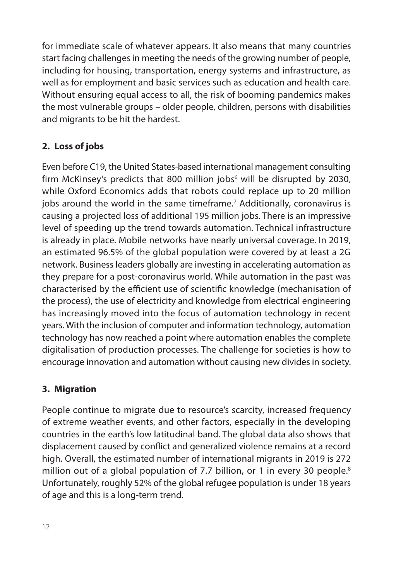for immediate scale of whatever appears. It also means that many countries start facing challenges in meeting the needs of the growing number of people, including for housing, transportation, energy systems and infrastructure, as well as for employment and basic services such as education and health care. Without ensuring equal access to all, the risk of booming pandemics makes the most vulnerable groups – older people, children, persons with disabilities and migrants to be hit the hardest.

# **2. Loss of jobs**

Even before C19, the United States-based international management consulting firm McKinsey's predicts that 800 million jobs $^6$  will be disrupted by 2030, while Oxford Economics adds that robots could replace up to 20 million jobs around the world in the same timeframe.<sup>7</sup> Additionally, coronavirus is causing a projected loss of additional 195 million jobs. There is an impressive level of speeding up the trend towards automation. Technical infrastructure is already in place. Mobile networks have nearly universal coverage. In 2019, an estimated 96.5% of the global population were covered by at least a 2G network. Business leaders globally are investing in accelerating automation as they prepare for a post-coronavirus world. While automation in the past was characterised by the efficient use of scientific knowledge (mechanisation of the process), the use of electricity and knowledge from electrical engineering has increasingly moved into the focus of automation technology in recent years. With the inclusion of computer and information technology, automation technology has now reached a point where automation enables the complete digitalisation of production processes. The challenge for societies is how to encourage innovation and automation without causing new divides in society.

# **3. Migration**

People continue to migrate due to resource's scarcity, increased frequency of extreme weather events, and other factors, especially in the developing countries in the earth's low latitudinal band. The global data also shows that displacement caused by conflict and generalized violence remains at a record high. Overall, the estimated number of international migrants in 2019 is 272 million out of a global population of 7.7 billion, or 1 in every 30 people.<sup>8</sup> Unfortunately, roughly 52% of the global refugee population is under 18 years of age and this is a long-term trend.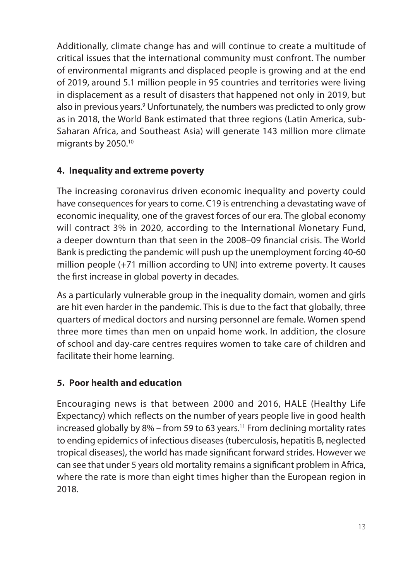Additionally, climate change has and will continue to create a multitude of critical issues that the international community must confront. The number of environmental migrants and displaced people is growing and at the end of 2019, around 5.1 million people in 95 countries and territories were living in displacement as a result of disasters that happened not only in 2019, but also in previous years.<sup>9</sup> Unfortunately, the numbers was predicted to only grow as in 2018, the World Bank estimated that three regions (Latin America, sub-Saharan Africa, and Southeast Asia) will generate 143 million more climate migrants by 2050.10

# **4. Inequality and extreme poverty**

The increasing coronavirus driven economic inequality and poverty could have consequences for years to come. C19 is entrenching a devastating wave of economic inequality, one of the gravest forces of our era. The global economy will contract 3% in 2020, according to the International Monetary Fund, a deeper downturn than that seen in the 2008–09 financial crisis. The World Bank is predicting the pandemic will push up the unemployment forcing 40-60 million people (+71 million according to UN) into extreme poverty. It causes the first increase in global poverty in decades.

As a particularly vulnerable group in the inequality domain, women and girls are hit even harder in the pandemic. This is due to the fact that globally, three quarters of medical doctors and nursing personnel are female. Women spend three more times than men on unpaid home work. In addition, the closure of school and day-care centres requires women to take care of children and facilitate their home learning.

# **5. Poor health and education**

Encouraging news is that between 2000 and 2016, HALE (Healthy Life Expectancy) which reflects on the number of years people live in good health increased globally by 8% – from 59 to 63 years.<sup>11</sup> From declining mortality rates to ending epidemics of infectious diseases (tuberculosis, hepatitis B, neglected tropical diseases), the world has made significant forward strides. However we can see that under 5 years old mortality remains a significant problem in Africa, where the rate is more than eight times higher than the European region in 2018.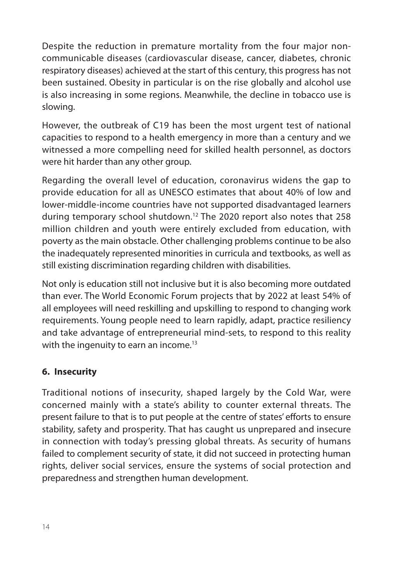Despite the reduction in premature mortality from the four major noncommunicable diseases (cardiovascular disease, cancer, diabetes, chronic respiratory diseases) achieved at the start of this century, this progress has not been sustained. Obesity in particular is on the rise globally and alcohol use is also increasing in some regions. Meanwhile, the decline in tobacco use is slowing.

However, the outbreak of C19 has been the most urgent test of national capacities to respond to a health emergency in more than a century and we witnessed a more compelling need for skilled health personnel, as doctors were hit harder than any other group.

Regarding the overall level of education, coronavirus widens the gap to provide education for all as UNESCO estimates that about 40% of low and lower-middle-income countries have not supported disadvantaged learners during temporary school shutdown.12 The 2020 report also notes that 258 million children and youth were entirely excluded from education, with poverty as the main obstacle. Other challenging problems continue to be also the inadequately represented minorities in curricula and textbooks, as well as still existing discrimination regarding children with disabilities.

Not only is education still not inclusive but it is also becoming more outdated than ever. The World Economic Forum projects that by 2022 at least 54% of all employees will need reskilling and upskilling to respond to changing work requirements. Young people need to learn rapidly, adapt, practice resiliency and take advantage of entrepreneurial mind-sets, to respond to this reality with the ingenuity to earn an income.<sup>13</sup>

#### **6. Insecurity**

Traditional notions of insecurity, shaped largely by the Cold War, were concerned mainly with a state's ability to counter external threats. The present failure to that is to put people at the centre of states' efforts to ensure stability, safety and prosperity. That has caught us unprepared and insecure in connection with today's pressing global threats. As security of humans failed to complement security of state, it did not succeed in protecting human rights, deliver social services, ensure the systems of social protection and preparedness and strengthen human development.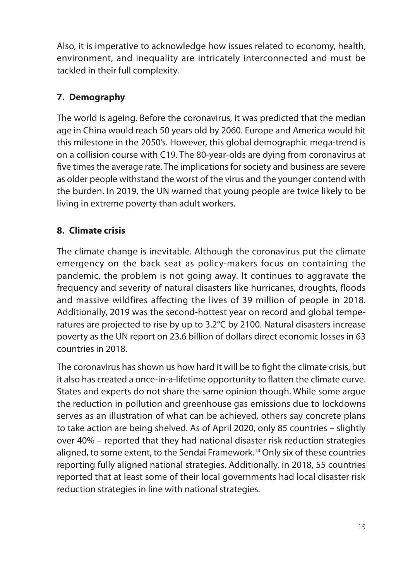Also, it is imperative to acknowledge how issues related to economy, health, environment, and inequality are intricately interconnected and must be tackled in their full complexity.

# **7. Demography**

The world is ageing. Before the coronavirus, it was predicted that the median age in China would reach 50 years old by 2060. Europe and America would hit this milestone in the 2050's. However, this global demographic mega-trend is on a collision course with C19. The 80-year-olds are dying from coronavirus at five times the average rate. The implications for society and business are severe as older people withstand the worst of the virus and the younger contend with the burden. In 2019, the UN warned that young people are twice likely to be living in extreme poverty than adult workers.

# **8. Climate crisis**

The climate change is inevitable. Although the coronavirus put the climate emergency on the back seat as policy-makers focus on containing the pandemic, the problem is not going away. It continues to aggravate the frequency and severity of natural disasters like hurricanes, droughts, floods and massive wildfires affecting the lives of 39 million of people in 2018. Additionally, 2019 was the second-hottest year on record and global temperatures are projected to rise by up to 3.2°C by 2100. Natural disasters increase poverty as the UN report on 23.6 billion of dollars direct economic losses in 63 countries in 2018.

The coronavirus has shown us how hard it will be to fight the climate crisis, but it also has created a once-in-a-lifetime opportunity to flatten the climate curve. States and experts do not share the same opinion though. While some argue the reduction in pollution and greenhouse gas emissions due to lockdowns serves as an illustration of what can be achieved, others say concrete plans to take action are being shelved. As of April 2020, only 85 countries – slightly over 40% – reported that they had national disaster risk reduction strategies aligned, to some extent, to the Sendai Framework.<sup>14</sup> Only six of these countries reporting fully aligned national strategies. Additionally. in 2018, 55 countries reported that at least some of their local governments had local disaster risk reduction strategies in line with national strategies.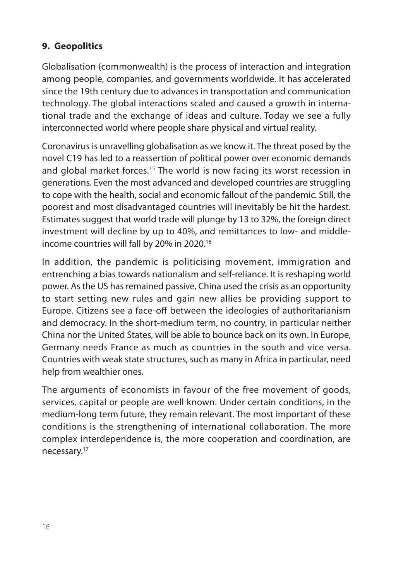# **9. Geopolitics**

Globalisation (commonwealth) is the process of interaction and integration among people, companies, and governments worldwide. It has accelerated since the 19th century due to advances in transportation and communication technology. The global interactions scaled and caused a growth in international trade and the exchange of ideas and culture. Today we see a fully interconnected world where people share physical and virtual reality.

Coronavirus is unravelling globalisation as we know it. The threat posed by the novel C19 has led to a reassertion of political power over economic demands and global market forces.<sup>15</sup> The world is now facing its worst recession in generations. Even the most advanced and developed countries are struggling to cope with the health, social and economic fallout of the pandemic. Still, the poorest and most disadvantaged countries will inevitably be hit the hardest. Estimates suggest that world trade will plunge by 13 to 32%, the foreign direct investment will decline by up to 40%, and remittances to low- and middleincome countries will fall by 20% in 2020.16

In addition, the pandemic is politicising movement, immigration and entrenching a bias towards nationalism and self-reliance. It is reshaping world power. As the US has remained passive, China used the crisis as an opportunity to start setting new rules and gain new allies be providing support to Europe. Citizens see a face-off between the ideologies of authoritarianism and democracy. In the short-medium term, no country, in particular neither China nor the United States, will be able to bounce back on its own. In Europe, Germany needs France as much as countries in the south and vice versa. Countries with weak state structures, such as many in Africa in particular, need help from wealthier ones.

The arguments of economists in favour of the free movement of goods, services, capital or people are well known. Under certain conditions, in the medium-long term future, they remain relevant. The most important of these conditions is the strengthening of international collaboration. The more complex interdependence is, the more cooperation and coordination, are necessary.17